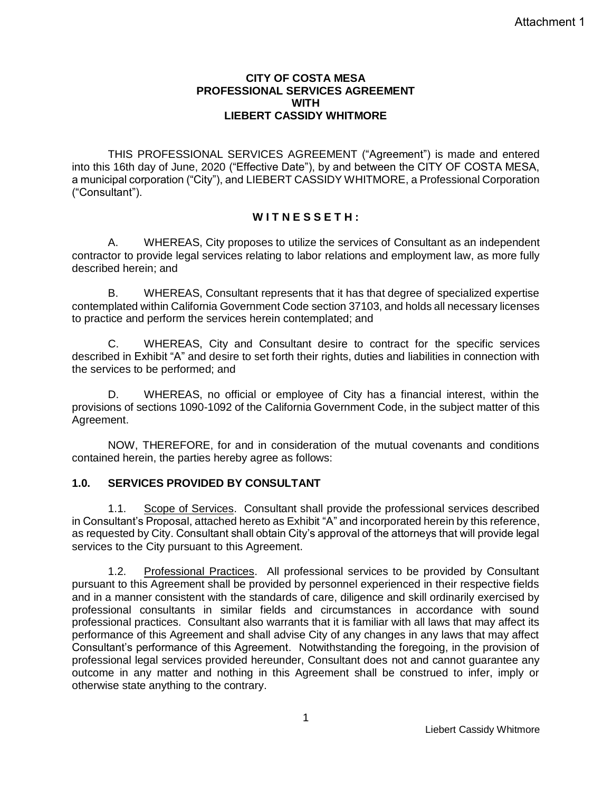#### **CITY OF COSTA MESA PROFESSIONAL SERVICES AGREEMENT WITH LIEBERT CASSIDY WHITMORE**

THIS PROFESSIONAL SERVICES AGREEMENT ("Agreement") is made and entered into this 16th day of June, 2020 ("Effective Date"), by and between the CITY OF COSTA MESA, a municipal corporation ("City"), and LIEBERT CASSIDY WHITMORE, a Professional Corporation ("Consultant").

## **W I T N E S S E T H :**

A. WHEREAS, City proposes to utilize the services of Consultant as an independent contractor to provide legal services relating to labor relations and employment law, as more fully described herein; and

B. WHEREAS, Consultant represents that it has that degree of specialized expertise contemplated within California Government Code section 37103, and holds all necessary licenses to practice and perform the services herein contemplated; and

C. WHEREAS, City and Consultant desire to contract for the specific services described in Exhibit "A" and desire to set forth their rights, duties and liabilities in connection with the services to be performed; and

D. WHEREAS, no official or employee of City has a financial interest, within the provisions of sections 1090-1092 of the California Government Code, in the subject matter of this Agreement.

NOW, THEREFORE, for and in consideration of the mutual covenants and conditions contained herein, the parties hereby agree as follows:

## **1.0. SERVICES PROVIDED BY CONSULTANT**

1.1. Scope of Services. Consultant shall provide the professional services described in Consultant's Proposal, attached hereto as Exhibit "A" and incorporated herein by this reference, as requested by City. Consultant shall obtain City's approval of the attorneys that will provide legal services to the City pursuant to this Agreement.

1.2. Professional Practices. All professional services to be provided by Consultant pursuant to this Agreement shall be provided by personnel experienced in their respective fields and in a manner consistent with the standards of care, diligence and skill ordinarily exercised by professional consultants in similar fields and circumstances in accordance with sound professional practices. Consultant also warrants that it is familiar with all laws that may affect its performance of this Agreement and shall advise City of any changes in any laws that may affect Consultant's performance of this Agreement. Notwithstanding the foregoing, in the provision of professional legal services provided hereunder, Consultant does not and cannot guarantee any outcome in any matter and nothing in this Agreement shall be construed to infer, imply or otherwise state anything to the contrary.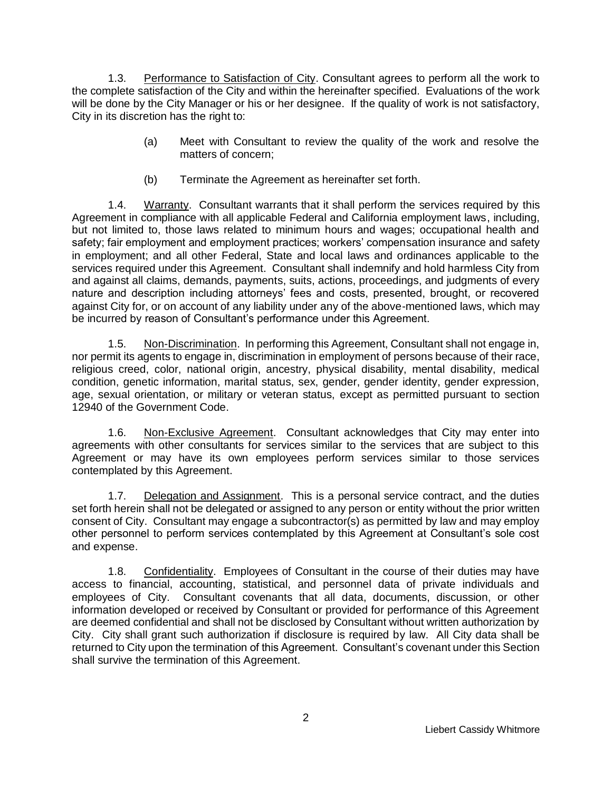1.3. Performance to Satisfaction of City. Consultant agrees to perform all the work to the complete satisfaction of the City and within the hereinafter specified. Evaluations of the work will be done by the City Manager or his or her designee. If the quality of work is not satisfactory, City in its discretion has the right to:

- (a) Meet with Consultant to review the quality of the work and resolve the matters of concern;
- (b) Terminate the Agreement as hereinafter set forth.

1.4. Warranty. Consultant warrants that it shall perform the services required by this Agreement in compliance with all applicable Federal and California employment laws, including, but not limited to, those laws related to minimum hours and wages; occupational health and safety; fair employment and employment practices; workers' compensation insurance and safety in employment; and all other Federal, State and local laws and ordinances applicable to the services required under this Agreement. Consultant shall indemnify and hold harmless City from and against all claims, demands, payments, suits, actions, proceedings, and judgments of every nature and description including attorneys' fees and costs, presented, brought, or recovered against City for, or on account of any liability under any of the above-mentioned laws, which may be incurred by reason of Consultant's performance under this Agreement.

1.5. Non-Discrimination. In performing this Agreement, Consultant shall not engage in, nor permit its agents to engage in, discrimination in employment of persons because of their race, religious creed, color, national origin, ancestry, physical disability, mental disability, medical condition, genetic information, marital status, sex, gender, gender identity, gender expression, age, sexual orientation, or military or veteran status, except as permitted pursuant to section 12940 of the Government Code.

1.6. Non-Exclusive Agreement. Consultant acknowledges that City may enter into agreements with other consultants for services similar to the services that are subject to this Agreement or may have its own employees perform services similar to those services contemplated by this Agreement.

1.7. Delegation and Assignment. This is a personal service contract, and the duties set forth herein shall not be delegated or assigned to any person or entity without the prior written consent of City. Consultant may engage a subcontractor(s) as permitted by law and may employ other personnel to perform services contemplated by this Agreement at Consultant's sole cost and expense.

1.8. Confidentiality. Employees of Consultant in the course of their duties may have access to financial, accounting, statistical, and personnel data of private individuals and employees of City. Consultant covenants that all data, documents, discussion, or other information developed or received by Consultant or provided for performance of this Agreement are deemed confidential and shall not be disclosed by Consultant without written authorization by City. City shall grant such authorization if disclosure is required by law. All City data shall be returned to City upon the termination of this Agreement. Consultant's covenant under this Section shall survive the termination of this Agreement.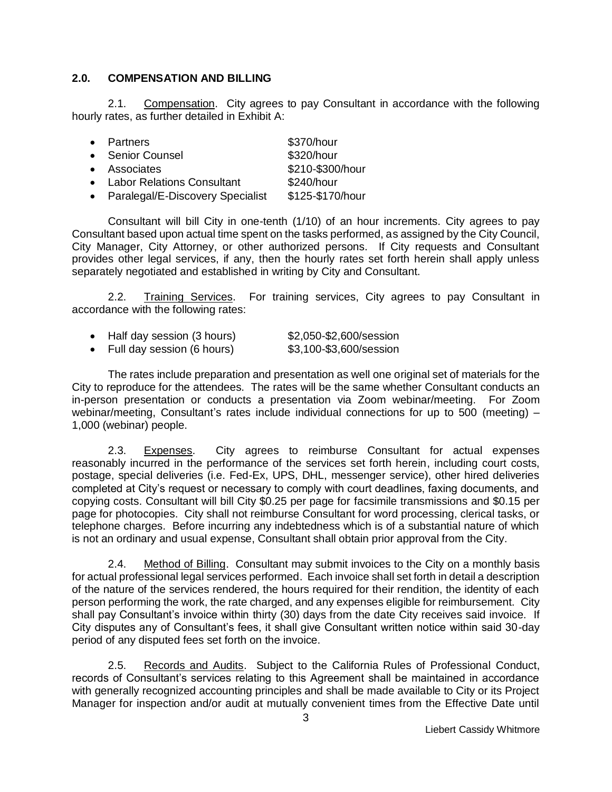#### **2.0. COMPENSATION AND BILLING**

2.1. Compensation. City agrees to pay Consultant in accordance with the following hourly rates, as further detailed in Exhibit A:

| • Partners                         | \$370/hour       |
|------------------------------------|------------------|
| • Senior Counsel                   | \$320/hour       |
| • Associates                       | \$210-\$300/hour |
| • Labor Relations Consultant       | \$240/hour       |
| • Paralegal/E-Discovery Specialist | \$125-\$170/hour |

Consultant will bill City in one-tenth (1/10) of an hour increments. City agrees to pay Consultant based upon actual time spent on the tasks performed, as assigned by the City Council, City Manager, City Attorney, or other authorized persons. If City requests and Consultant provides other legal services, if any, then the hourly rates set forth herein shall apply unless separately negotiated and established in writing by City and Consultant.

2.2. Training Services. For training services, City agrees to pay Consultant in accordance with the following rates:

| Half day session (3 hours) | \$2,050-\$2,600/session |
|----------------------------|-------------------------|
| Full day session (6 hours) | \$3,100-\$3,600/session |

The rates include preparation and presentation as well one original set of materials for the City to reproduce for the attendees. The rates will be the same whether Consultant conducts an in-person presentation or conducts a presentation via Zoom webinar/meeting. For Zoom webinar/meeting, Consultant's rates include individual connections for up to 500 (meeting) – 1,000 (webinar) people.

2.3. Expenses. City agrees to reimburse Consultant for actual expenses reasonably incurred in the performance of the services set forth herein, including court costs, postage, special deliveries (i.e. Fed-Ex, UPS, DHL, messenger service), other hired deliveries completed at City's request or necessary to comply with court deadlines, faxing documents, and copying costs. Consultant will bill City \$0.25 per page for facsimile transmissions and \$0.15 per page for photocopies. City shall not reimburse Consultant for word processing, clerical tasks, or telephone charges. Before incurring any indebtedness which is of a substantial nature of which is not an ordinary and usual expense, Consultant shall obtain prior approval from the City.

2.4. Method of Billing. Consultant may submit invoices to the City on a monthly basis for actual professional legal services performed. Each invoice shall set forth in detail a description of the nature of the services rendered, the hours required for their rendition, the identity of each person performing the work, the rate charged, and any expenses eligible for reimbursement. City shall pay Consultant's invoice within thirty (30) days from the date City receives said invoice. If City disputes any of Consultant's fees, it shall give Consultant written notice within said 30-day period of any disputed fees set forth on the invoice.

2.5. Records and Audits. Subject to the California Rules of Professional Conduct, records of Consultant's services relating to this Agreement shall be maintained in accordance with generally recognized accounting principles and shall be made available to City or its Project Manager for inspection and/or audit at mutually convenient times from the Effective Date until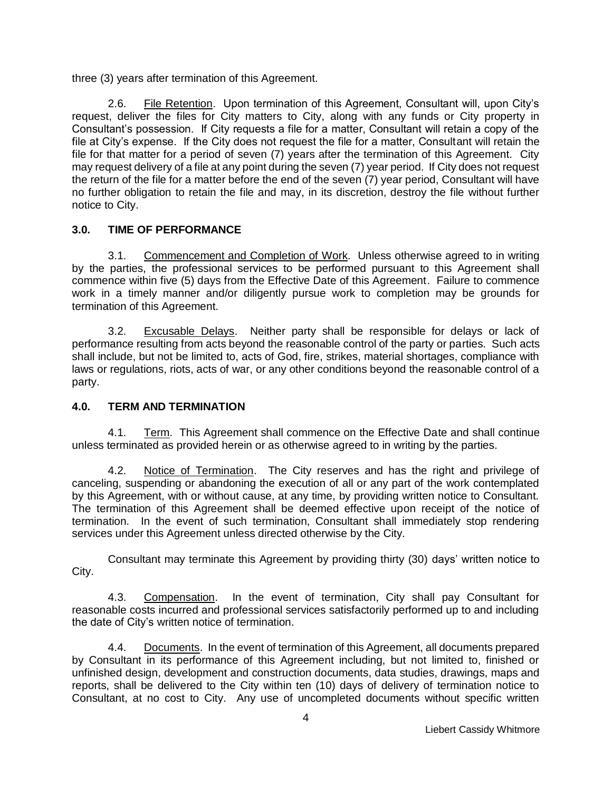three (3) years after termination of this Agreement.

2.6. File Retention. Upon termination of this Agreement, Consultant will, upon City's request, deliver the files for City matters to City, along with any funds or City property in Consultant's possession. If City requests a file for a matter, Consultant will retain a copy of the file at City's expense. If the City does not request the file for a matter, Consultant will retain the file for that matter for a period of seven (7) years after the termination of this Agreement. City may request delivery of a file at any point during the seven (7) year period. If City does not request the return of the file for a matter before the end of the seven (7) year period, Consultant will have no further obligation to retain the file and may, in its discretion, destroy the file without further notice to City.

## **3.0. TIME OF PERFORMANCE**

3.1. Commencement and Completion of Work. Unless otherwise agreed to in writing by the parties, the professional services to be performed pursuant to this Agreement shall commence within five (5) days from the Effective Date of this Agreement. Failure to commence work in a timely manner and/or diligently pursue work to completion may be grounds for termination of this Agreement.

3.2. Excusable Delays. Neither party shall be responsible for delays or lack of performance resulting from acts beyond the reasonable control of the party or parties. Such acts shall include, but not be limited to, acts of God, fire, strikes, material shortages, compliance with laws or regulations, riots, acts of war, or any other conditions beyond the reasonable control of a party.

#### **4.0. TERM AND TERMINATION**

4.1. Term. This Agreement shall commence on the Effective Date and shall continue unless terminated as provided herein or as otherwise agreed to in writing by the parties.

4.2. Notice of Termination. The City reserves and has the right and privilege of canceling, suspending or abandoning the execution of all or any part of the work contemplated by this Agreement, with or without cause, at any time, by providing written notice to Consultant. The termination of this Agreement shall be deemed effective upon receipt of the notice of termination. In the event of such termination, Consultant shall immediately stop rendering services under this Agreement unless directed otherwise by the City.

Consultant may terminate this Agreement by providing thirty (30) days' written notice to City.

4.3. Compensation. In the event of termination, City shall pay Consultant for reasonable costs incurred and professional services satisfactorily performed up to and including the date of City's written notice of termination.

4.4. Documents. In the event of termination of this Agreement, all documents prepared by Consultant in its performance of this Agreement including, but not limited to, finished or unfinished design, development and construction documents, data studies, drawings, maps and reports, shall be delivered to the City within ten (10) days of delivery of termination notice to Consultant, at no cost to City. Any use of uncompleted documents without specific written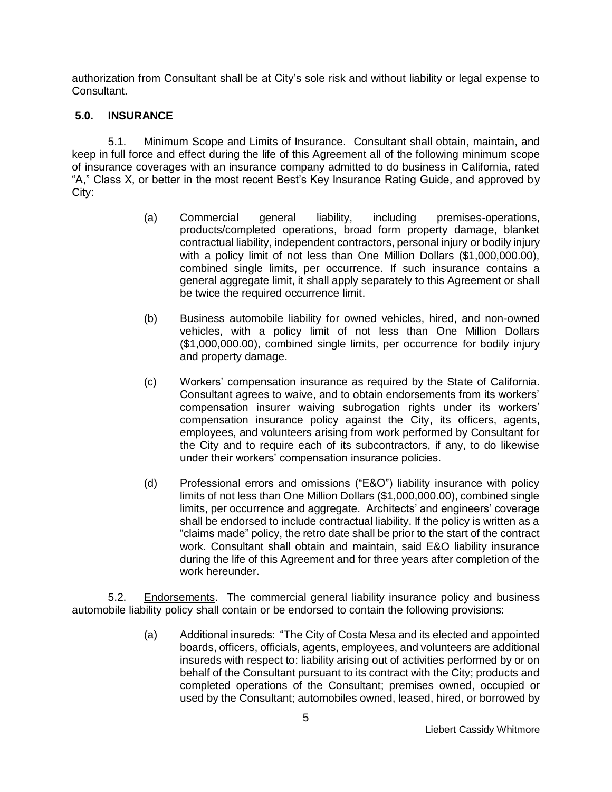authorization from Consultant shall be at City's sole risk and without liability or legal expense to Consultant.

#### **5.0. INSURANCE**

5.1. Minimum Scope and Limits of Insurance. Consultant shall obtain, maintain, and keep in full force and effect during the life of this Agreement all of the following minimum scope of insurance coverages with an insurance company admitted to do business in California, rated "A," Class X, or better in the most recent Best's Key Insurance Rating Guide, and approved by City:

- (a) Commercial general liability, including premises-operations, products/completed operations, broad form property damage, blanket contractual liability, independent contractors, personal injury or bodily injury with a policy limit of not less than One Million Dollars (\$1,000,000.00), combined single limits, per occurrence. If such insurance contains a general aggregate limit, it shall apply separately to this Agreement or shall be twice the required occurrence limit.
- (b) Business automobile liability for owned vehicles, hired, and non-owned vehicles, with a policy limit of not less than One Million Dollars (\$1,000,000.00), combined single limits, per occurrence for bodily injury and property damage.
- (c) Workers' compensation insurance as required by the State of California. Consultant agrees to waive, and to obtain endorsements from its workers' compensation insurer waiving subrogation rights under its workers' compensation insurance policy against the City, its officers, agents, employees, and volunteers arising from work performed by Consultant for the City and to require each of its subcontractors, if any, to do likewise under their workers' compensation insurance policies.
- (d) Professional errors and omissions ("E&O") liability insurance with policy limits of not less than One Million Dollars (\$1,000,000.00), combined single limits, per occurrence and aggregate. Architects' and engineers' coverage shall be endorsed to include contractual liability. If the policy is written as a "claims made" policy, the retro date shall be prior to the start of the contract work. Consultant shall obtain and maintain, said E&O liability insurance during the life of this Agreement and for three years after completion of the work hereunder.

5.2. Endorsements. The commercial general liability insurance policy and business automobile liability policy shall contain or be endorsed to contain the following provisions:

> (a) Additional insureds: "The City of Costa Mesa and its elected and appointed boards, officers, officials, agents, employees, and volunteers are additional insureds with respect to: liability arising out of activities performed by or on behalf of the Consultant pursuant to its contract with the City; products and completed operations of the Consultant; premises owned, occupied or used by the Consultant; automobiles owned, leased, hired, or borrowed by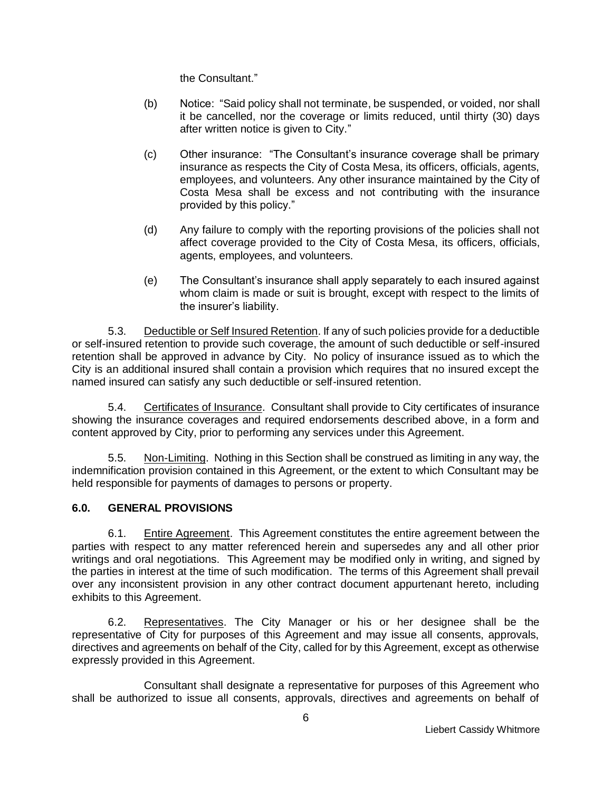the Consultant."

- (b) Notice: "Said policy shall not terminate, be suspended, or voided, nor shall it be cancelled, nor the coverage or limits reduced, until thirty (30) days after written notice is given to City."
- (c) Other insurance: "The Consultant's insurance coverage shall be primary insurance as respects the City of Costa Mesa, its officers, officials, agents, employees, and volunteers. Any other insurance maintained by the City of Costa Mesa shall be excess and not contributing with the insurance provided by this policy."
- (d) Any failure to comply with the reporting provisions of the policies shall not affect coverage provided to the City of Costa Mesa, its officers, officials, agents, employees, and volunteers.
- (e) The Consultant's insurance shall apply separately to each insured against whom claim is made or suit is brought, except with respect to the limits of the insurer's liability.

5.3. Deductible or Self Insured Retention. If any of such policies provide for a deductible or self-insured retention to provide such coverage, the amount of such deductible or self-insured retention shall be approved in advance by City. No policy of insurance issued as to which the City is an additional insured shall contain a provision which requires that no insured except the named insured can satisfy any such deductible or self-insured retention.

5.4. Certificates of Insurance. Consultant shall provide to City certificates of insurance showing the insurance coverages and required endorsements described above, in a form and content approved by City, prior to performing any services under this Agreement.

5.5. Non-Limiting. Nothing in this Section shall be construed as limiting in any way, the indemnification provision contained in this Agreement, or the extent to which Consultant may be held responsible for payments of damages to persons or property.

## **6.0. GENERAL PROVISIONS**

6.1. Entire Agreement. This Agreement constitutes the entire agreement between the parties with respect to any matter referenced herein and supersedes any and all other prior writings and oral negotiations. This Agreement may be modified only in writing, and signed by the parties in interest at the time of such modification. The terms of this Agreement shall prevail over any inconsistent provision in any other contract document appurtenant hereto, including exhibits to this Agreement.

6.2. Representatives. The City Manager or his or her designee shall be the representative of City for purposes of this Agreement and may issue all consents, approvals, directives and agreements on behalf of the City, called for by this Agreement, except as otherwise expressly provided in this Agreement.

Consultant shall designate a representative for purposes of this Agreement who shall be authorized to issue all consents, approvals, directives and agreements on behalf of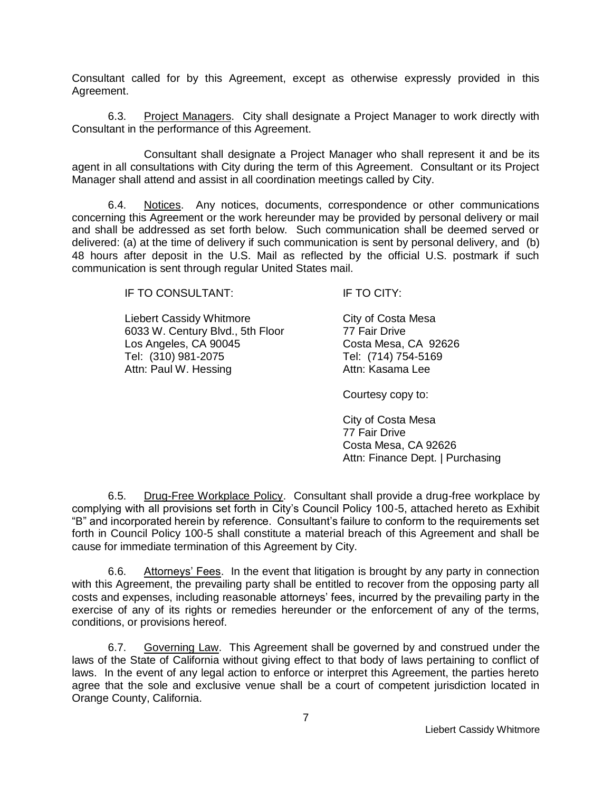Consultant called for by this Agreement, except as otherwise expressly provided in this Agreement.

6.3. Project Managers. City shall designate a Project Manager to work directly with Consultant in the performance of this Agreement.

Consultant shall designate a Project Manager who shall represent it and be its agent in all consultations with City during the term of this Agreement. Consultant or its Project Manager shall attend and assist in all coordination meetings called by City.

6.4. Notices. Any notices, documents, correspondence or other communications concerning this Agreement or the work hereunder may be provided by personal delivery or mail and shall be addressed as set forth below. Such communication shall be deemed served or delivered: (a) at the time of delivery if such communication is sent by personal delivery, and (b) 48 hours after deposit in the U.S. Mail as reflected by the official U.S. postmark if such communication is sent through regular United States mail.

IF TO CONSULTANT: IF TO CITY:

Liebert Cassidy Whitmore 6033 W. Century Blvd., 5th Floor Los Angeles, CA 90045 Tel: (310) 981-2075 Tel: (714) 754-5169 Attn: Paul W. Hessing

City of Costa Mesa 77 Fair Drive Costa Mesa, CA 92626

Courtesy copy to:

City of Costa Mesa 77 Fair Drive Costa Mesa, CA 92626 Attn: Finance Dept. | Purchasing

6.5. Drug-Free Workplace Policy. Consultant shall provide a drug-free workplace by complying with all provisions set forth in City's Council Policy 100-5, attached hereto as Exhibit "B" and incorporated herein by reference. Consultant's failure to conform to the requirements set forth in Council Policy 100-5 shall constitute a material breach of this Agreement and shall be cause for immediate termination of this Agreement by City.

6.6. Attorneys' Fees. In the event that litigation is brought by any party in connection with this Agreement, the prevailing party shall be entitled to recover from the opposing party all costs and expenses, including reasonable attorneys' fees, incurred by the prevailing party in the exercise of any of its rights or remedies hereunder or the enforcement of any of the terms, conditions, or provisions hereof.

6.7. Governing Law. This Agreement shall be governed by and construed under the laws of the State of California without giving effect to that body of laws pertaining to conflict of laws. In the event of any legal action to enforce or interpret this Agreement, the parties hereto agree that the sole and exclusive venue shall be a court of competent jurisdiction located in Orange County, California.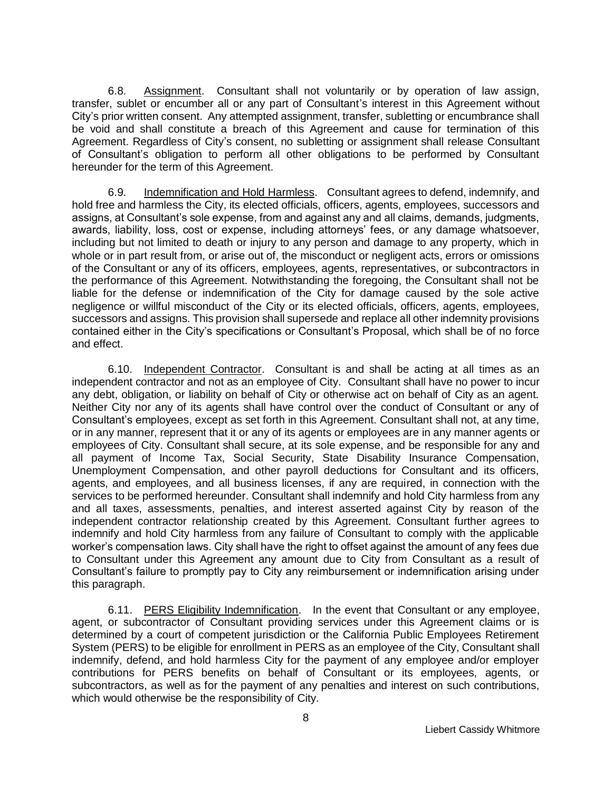6.8. Assignment. Consultant shall not voluntarily or by operation of law assign, transfer, sublet or encumber all or any part of Consultant's interest in this Agreement without City's prior written consent. Any attempted assignment, transfer, subletting or encumbrance shall be void and shall constitute a breach of this Agreement and cause for termination of this Agreement. Regardless of City's consent, no subletting or assignment shall release Consultant of Consultant's obligation to perform all other obligations to be performed by Consultant hereunder for the term of this Agreement.

6.9. Indemnification and Hold Harmless. Consultant agrees to defend, indemnify, and hold free and harmless the City, its elected officials, officers, agents, employees, successors and assigns, at Consultant's sole expense, from and against any and all claims, demands, judgments, awards, liability, loss, cost or expense, including attorneys' fees, or any damage whatsoever, including but not limited to death or injury to any person and damage to any property, which in whole or in part result from, or arise out of, the misconduct or negligent acts, errors or omissions of the Consultant or any of its officers, employees, agents, representatives, or subcontractors in the performance of this Agreement. Notwithstanding the foregoing, the Consultant shall not be liable for the defense or indemnification of the City for damage caused by the sole active negligence or willful misconduct of the City or its elected officials, officers, agents, employees, successors and assigns. This provision shall supersede and replace all other indemnity provisions contained either in the City's specifications or Consultant's Proposal, which shall be of no force and effect.

6.10. Independent Contractor. Consultant is and shall be acting at all times as an independent contractor and not as an employee of City. Consultant shall have no power to incur any debt, obligation, or liability on behalf of City or otherwise act on behalf of City as an agent. Neither City nor any of its agents shall have control over the conduct of Consultant or any of Consultant's employees, except as set forth in this Agreement. Consultant shall not, at any time, or in any manner, represent that it or any of its agents or employees are in any manner agents or employees of City. Consultant shall secure, at its sole expense, and be responsible for any and all payment of Income Tax, Social Security, State Disability Insurance Compensation, Unemployment Compensation, and other payroll deductions for Consultant and its officers, agents, and employees, and all business licenses, if any are required, in connection with the services to be performed hereunder. Consultant shall indemnify and hold City harmless from any and all taxes, assessments, penalties, and interest asserted against City by reason of the independent contractor relationship created by this Agreement. Consultant further agrees to indemnify and hold City harmless from any failure of Consultant to comply with the applicable worker's compensation laws. City shall have the right to offset against the amount of any fees due to Consultant under this Agreement any amount due to City from Consultant as a result of Consultant's failure to promptly pay to City any reimbursement or indemnification arising under this paragraph.

6.11. PERS Eligibility Indemnification. In the event that Consultant or any employee, agent, or subcontractor of Consultant providing services under this Agreement claims or is determined by a court of competent jurisdiction or the California Public Employees Retirement System (PERS) to be eligible for enrollment in PERS as an employee of the City, Consultant shall indemnify, defend, and hold harmless City for the payment of any employee and/or employer contributions for PERS benefits on behalf of Consultant or its employees, agents, or subcontractors, as well as for the payment of any penalties and interest on such contributions, which would otherwise be the responsibility of City.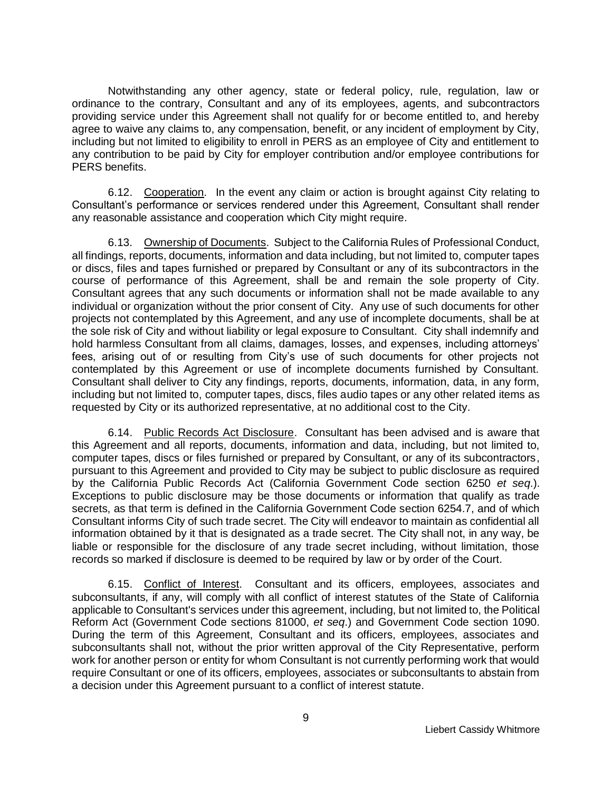Notwithstanding any other agency, state or federal policy, rule, regulation, law or ordinance to the contrary, Consultant and any of its employees, agents, and subcontractors providing service under this Agreement shall not qualify for or become entitled to, and hereby agree to waive any claims to, any compensation, benefit, or any incident of employment by City, including but not limited to eligibility to enroll in PERS as an employee of City and entitlement to any contribution to be paid by City for employer contribution and/or employee contributions for PERS benefits.

6.12. Cooperation. In the event any claim or action is brought against City relating to Consultant's performance or services rendered under this Agreement, Consultant shall render any reasonable assistance and cooperation which City might require.

6.13. Ownership of Documents. Subject to the California Rules of Professional Conduct, all findings, reports, documents, information and data including, but not limited to, computer tapes or discs, files and tapes furnished or prepared by Consultant or any of its subcontractors in the course of performance of this Agreement, shall be and remain the sole property of City. Consultant agrees that any such documents or information shall not be made available to any individual or organization without the prior consent of City. Any use of such documents for other projects not contemplated by this Agreement, and any use of incomplete documents, shall be at the sole risk of City and without liability or legal exposure to Consultant. City shall indemnify and hold harmless Consultant from all claims, damages, losses, and expenses, including attorneys' fees, arising out of or resulting from City's use of such documents for other projects not contemplated by this Agreement or use of incomplete documents furnished by Consultant. Consultant shall deliver to City any findings, reports, documents, information, data, in any form, including but not limited to, computer tapes, discs, files audio tapes or any other related items as requested by City or its authorized representative, at no additional cost to the City.

6.14. Public Records Act Disclosure. Consultant has been advised and is aware that this Agreement and all reports, documents, information and data, including, but not limited to, computer tapes, discs or files furnished or prepared by Consultant, or any of its subcontractors, pursuant to this Agreement and provided to City may be subject to public disclosure as required by the California Public Records Act (California Government Code section 6250 *et seq*.). Exceptions to public disclosure may be those documents or information that qualify as trade secrets, as that term is defined in the California Government Code section 6254.7, and of which Consultant informs City of such trade secret. The City will endeavor to maintain as confidential all information obtained by it that is designated as a trade secret. The City shall not, in any way, be liable or responsible for the disclosure of any trade secret including, without limitation, those records so marked if disclosure is deemed to be required by law or by order of the Court.

6.15. Conflict of Interest. Consultant and its officers, employees, associates and subconsultants, if any, will comply with all conflict of interest statutes of the State of California applicable to Consultant's services under this agreement, including, but not limited to, the Political Reform Act (Government Code sections 81000, *et seq*.) and Government Code section 1090. During the term of this Agreement, Consultant and its officers, employees, associates and subconsultants shall not, without the prior written approval of the City Representative, perform work for another person or entity for whom Consultant is not currently performing work that would require Consultant or one of its officers, employees, associates or subconsultants to abstain from a decision under this Agreement pursuant to a conflict of interest statute.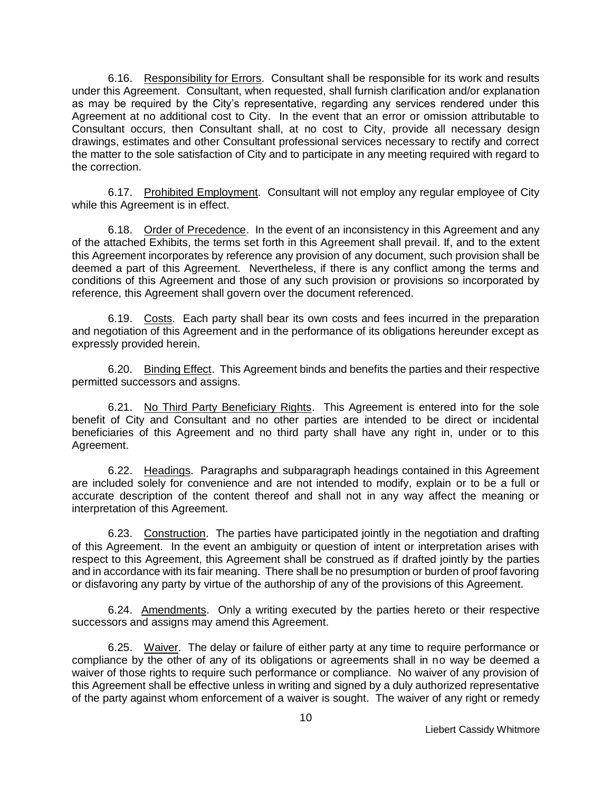6.16. Responsibility for Errors. Consultant shall be responsible for its work and results under this Agreement. Consultant, when requested, shall furnish clarification and/or explanation as may be required by the City's representative, regarding any services rendered under this Agreement at no additional cost to City. In the event that an error or omission attributable to Consultant occurs, then Consultant shall, at no cost to City, provide all necessary design drawings, estimates and other Consultant professional services necessary to rectify and correct the matter to the sole satisfaction of City and to participate in any meeting required with regard to the correction.

6.17. Prohibited Employment. Consultant will not employ any regular employee of City while this Agreement is in effect.

6.18. Order of Precedence. In the event of an inconsistency in this Agreement and any of the attached Exhibits, the terms set forth in this Agreement shall prevail. If, and to the extent this Agreement incorporates by reference any provision of any document, such provision shall be deemed a part of this Agreement. Nevertheless, if there is any conflict among the terms and conditions of this Agreement and those of any such provision or provisions so incorporated by reference, this Agreement shall govern over the document referenced.

6.19. Costs. Each party shall bear its own costs and fees incurred in the preparation and negotiation of this Agreement and in the performance of its obligations hereunder except as expressly provided herein.

6.20. Binding Effect. This Agreement binds and benefits the parties and their respective permitted successors and assigns.

6.21. No Third Party Beneficiary Rights. This Agreement is entered into for the sole benefit of City and Consultant and no other parties are intended to be direct or incidental beneficiaries of this Agreement and no third party shall have any right in, under or to this Agreement.

6.22. Headings. Paragraphs and subparagraph headings contained in this Agreement are included solely for convenience and are not intended to modify, explain or to be a full or accurate description of the content thereof and shall not in any way affect the meaning or interpretation of this Agreement.

6.23. Construction. The parties have participated jointly in the negotiation and drafting of this Agreement. In the event an ambiguity or question of intent or interpretation arises with respect to this Agreement, this Agreement shall be construed as if drafted jointly by the parties and in accordance with its fair meaning. There shall be no presumption or burden of proof favoring or disfavoring any party by virtue of the authorship of any of the provisions of this Agreement.

6.24. Amendments. Only a writing executed by the parties hereto or their respective successors and assigns may amend this Agreement.

6.25. Waiver. The delay or failure of either party at any time to require performance or compliance by the other of any of its obligations or agreements shall in no way be deemed a waiver of those rights to require such performance or compliance. No waiver of any provision of this Agreement shall be effective unless in writing and signed by a duly authorized representative of the party against whom enforcement of a waiver is sought. The waiver of any right or remedy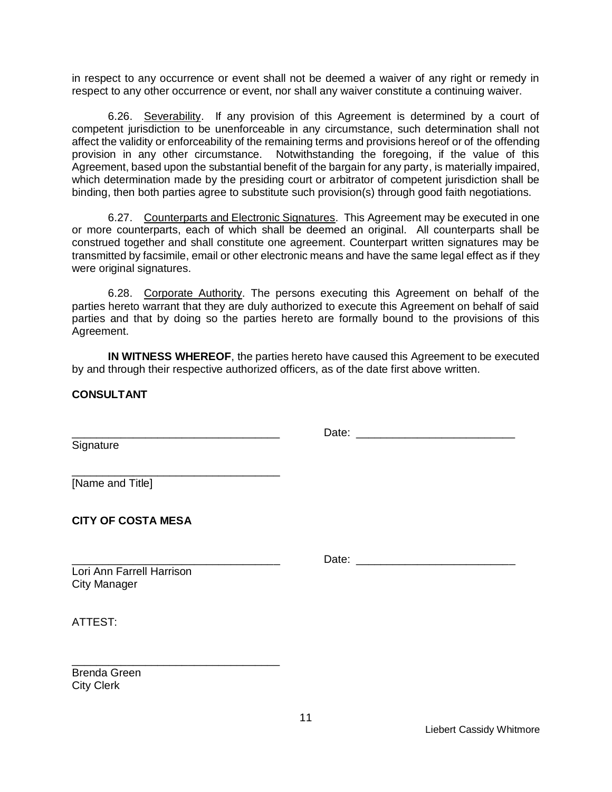in respect to any occurrence or event shall not be deemed a waiver of any right or remedy in respect to any other occurrence or event, nor shall any waiver constitute a continuing waiver.

6.26. Severability. If any provision of this Agreement is determined by a court of competent jurisdiction to be unenforceable in any circumstance, such determination shall not affect the validity or enforceability of the remaining terms and provisions hereof or of the offending provision in any other circumstance. Notwithstanding the foregoing, if the value of this Agreement, based upon the substantial benefit of the bargain for any party, is materially impaired, which determination made by the presiding court or arbitrator of competent jurisdiction shall be binding, then both parties agree to substitute such provision(s) through good faith negotiations.

6.27. Counterparts and Electronic Signatures. This Agreement may be executed in one or more counterparts, each of which shall be deemed an original. All counterparts shall be construed together and shall constitute one agreement. Counterpart written signatures may be transmitted by facsimile, email or other electronic means and have the same legal effect as if they were original signatures.

6.28. Corporate Authority. The persons executing this Agreement on behalf of the parties hereto warrant that they are duly authorized to execute this Agreement on behalf of said parties and that by doing so the parties hereto are formally bound to the provisions of this Agreement.

**IN WITNESS WHEREOF**, the parties hereto have caused this Agreement to be executed by and through their respective authorized officers, as of the date first above written.

**CONSULTANT**

Signature

\_\_\_\_\_\_\_\_\_\_\_\_\_\_\_\_\_\_\_\_\_\_\_\_\_\_\_\_\_\_\_\_\_\_ Date: \_\_\_\_\_\_\_\_\_\_\_\_\_\_\_\_\_\_\_\_\_\_\_\_\_\_

 $\_$ [Name and Title]

**CITY OF COSTA MESA**

Lori Ann Farrell Harrison

\_\_\_\_\_\_\_\_\_\_\_\_\_\_\_\_\_\_\_\_\_\_\_\_\_\_\_\_\_\_\_\_\_\_ Date: \_\_\_\_\_\_\_\_\_\_\_\_\_\_\_\_\_\_\_\_\_\_\_\_\_\_

ATTEST:

City Manager

\_\_\_\_\_\_\_\_\_\_\_\_\_\_\_\_\_\_\_\_\_\_\_\_\_\_\_\_\_\_\_\_\_\_ Brenda Green City Clerk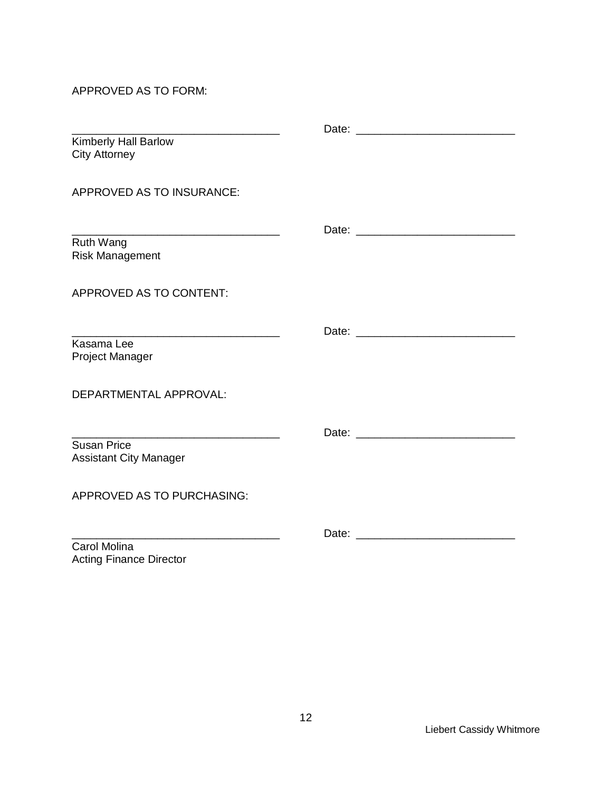APPROVED AS TO FORM:

Acting Finance Director

| Kimberly Hall Barlow<br><b>City Attorney</b>                                                                          |                                                                                                                                                                                                                                |
|-----------------------------------------------------------------------------------------------------------------------|--------------------------------------------------------------------------------------------------------------------------------------------------------------------------------------------------------------------------------|
| APPROVED AS TO INSURANCE:                                                                                             |                                                                                                                                                                                                                                |
| <u> 1990 - Johann Barbara, martin amerikan basar dan bagi dan bagi dalam bagi dalam bagi dalam bagi dalam bagi da</u> |                                                                                                                                                                                                                                |
| Ruth Wang<br><b>Risk Management</b>                                                                                   |                                                                                                                                                                                                                                |
| APPROVED AS TO CONTENT:                                                                                               |                                                                                                                                                                                                                                |
|                                                                                                                       |                                                                                                                                                                                                                                |
| Kasama Lee<br><b>Project Manager</b>                                                                                  |                                                                                                                                                                                                                                |
| DEPARTMENTAL APPROVAL:                                                                                                |                                                                                                                                                                                                                                |
|                                                                                                                       |                                                                                                                                                                                                                                |
| <b>Susan Price</b><br><b>Assistant City Manager</b>                                                                   |                                                                                                                                                                                                                                |
| <b>APPROVED AS TO PURCHASING:</b>                                                                                     |                                                                                                                                                                                                                                |
|                                                                                                                       | Date: the contract of the contract of the contract of the contract of the contract of the contract of the contract of the contract of the contract of the contract of the contract of the contract of the contract of the cont |
| Carol Molina                                                                                                          |                                                                                                                                                                                                                                |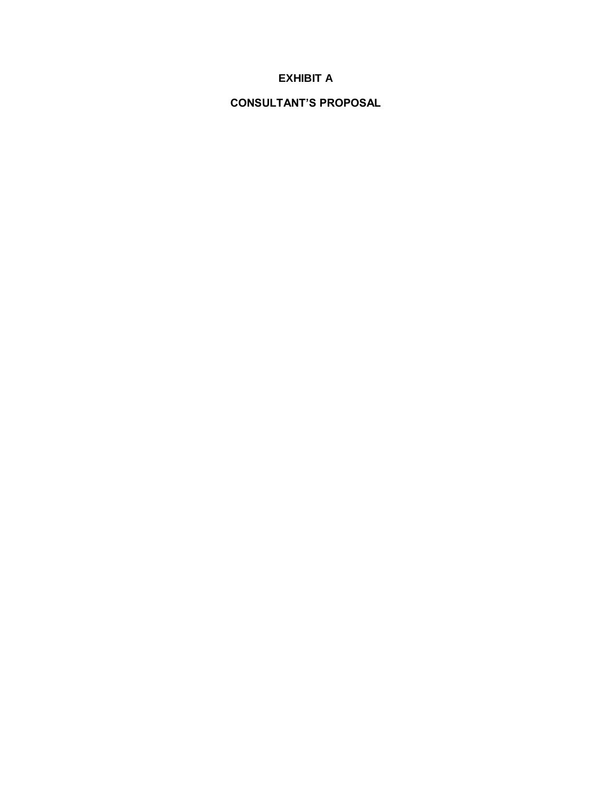# **EXHIBIT A**

**CONSULTANT'S PROPOSAL**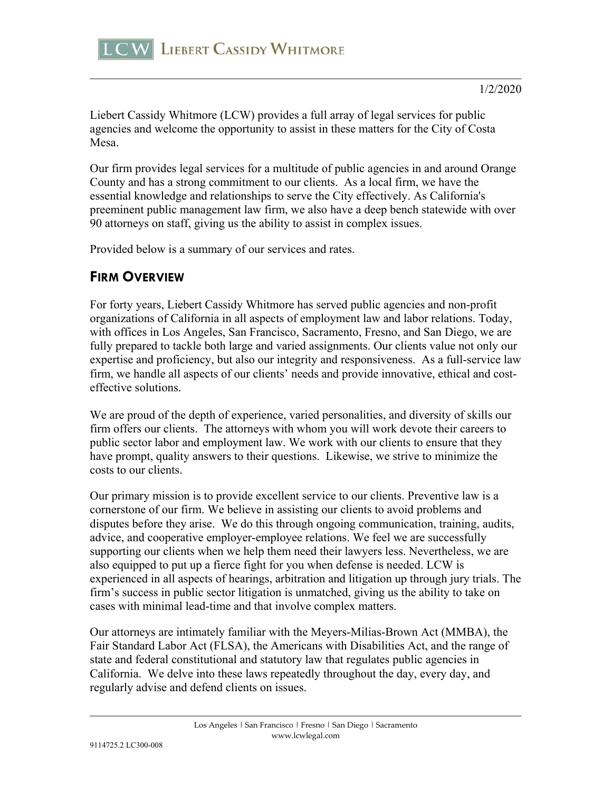

Liebert Cassidy Whitmore (LCW) provides a full array of legal services for public agencies and welcome the opportunity to assist in these matters for the City of Costa Mesa.

Our firm provides legal services for a multitude of public agencies in and around Orange County and has a strong commitment to our clients. As a local firm, we have the essential knowledge and relationships to serve the City effectively. As California's preeminent public management law firm, we also have a deep bench statewide with over 90 attorneys on staff, giving us the ability to assist in complex issues.

Provided below is a summary of our services and rates.

# **FIRM OVERVIEW**

For forty years, Liebert Cassidy Whitmore has served public agencies and non-profit organizations of California in all aspects of employment law and labor relations. Today, with offices in Los Angeles, San Francisco, Sacramento, Fresno, and San Diego, we are fully prepared to tackle both large and varied assignments. Our clients value not only our expertise and proficiency, but also our integrity and responsiveness. As a full-service law firm, we handle all aspects of our clients' needs and provide innovative, ethical and costeffective solutions.

We are proud of the depth of experience, varied personalities, and diversity of skills our firm offers our clients. The attorneys with whom you will work devote their careers to public sector labor and employment law. We work with our clients to ensure that they have prompt, quality answers to their questions. Likewise, we strive to minimize the costs to our clients.

Our primary mission is to provide excellent service to our clients. Preventive law is a cornerstone of our firm. We believe in assisting our clients to avoid problems and disputes before they arise. We do this through ongoing communication, training, audits, advice, and cooperative employer-employee relations. We feel we are successfully supporting our clients when we help them need their lawyers less. Nevertheless, we are also equipped to put up a fierce fight for you when defense is needed. LCW is experienced in all aspects of hearings, arbitration and litigation up through jury trials. The firm's success in public sector litigation is unmatched, giving us the ability to take on cases with minimal lead-time and that involve complex matters.

Our attorneys are intimately familiar with the Meyers-Milias-Brown Act (MMBA), the Fair Standard Labor Act (FLSA), the Americans with Disabilities Act, and the range of state and federal constitutional and statutory law that regulates public agencies in California. We delve into these laws repeatedly throughout the day, every day, and regularly advise and defend clients on issues.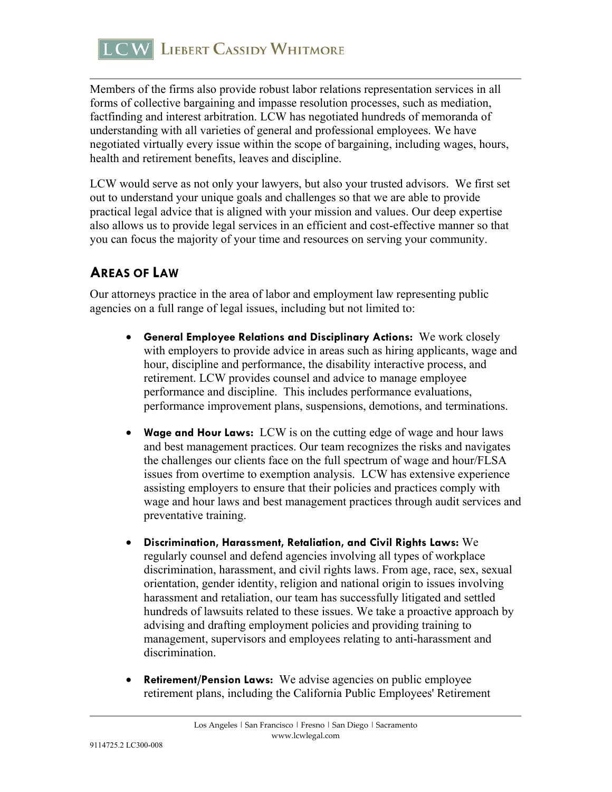

Members of the firms also provide robust labor relations representation services in all forms of collective bargaining and impasse resolution processes, such as mediation, factfinding and interest arbitration. LCW has negotiated hundreds of memoranda of understanding with all varieties of general and professional employees. We have negotiated virtually every issue within the scope of bargaining, including wages, hours, health and retirement benefits, leaves and discipline.

LCW would serve as not only your lawyers, but also your trusted advisors. We first set out to understand your unique goals and challenges so that we are able to provide practical legal advice that is aligned with your mission and values. Our deep expertise also allows us to provide legal services in an efficient and cost-effective manner so that you can focus the majority of your time and resources on serving your community.

# **AREAS OF LAW**

Our attorneys practice in the area of labor and employment law representing public agencies on a full range of legal issues, including but not limited to:

- **General Employee Relations and Disciplinary Actions:** We work closely with employers to provide advice in areas such as hiring applicants, wage and hour, discipline and performance, the disability interactive process, and retirement. LCW provides counsel and advice to manage employee performance and discipline. This includes performance evaluations, performance improvement plans, suspensions, demotions, and terminations.
- **Wage and Hour Laws:** LCW is on the cutting edge of wage and hour laws and best management practices. Our team recognizes the risks and navigates the challenges our clients face on the full spectrum of wage and hour/FLSA issues from overtime to exemption analysis. LCW has extensive experience assisting employers to ensure that their policies and practices comply with wage and hour laws and best management practices through audit services and preventative training.
- **Discrimination, Harassment, Retaliation, and Civil Rights Laws:** We regularly counsel and defend agencies involving all types of workplace discrimination, harassment, and civil rights laws. From age, race, sex, sexual orientation, gender identity, religion and national origin to issues involving harassment and retaliation, our team has successfully litigated and settled hundreds of lawsuits related to these issues. We take a proactive approach by advising and drafting employment policies and providing training to management, supervisors and employees relating to anti-harassment and discrimination.
- **Retirement/Pension Laws:** We advise agencies on public employee retirement plans, including the California Public Employees' Retirement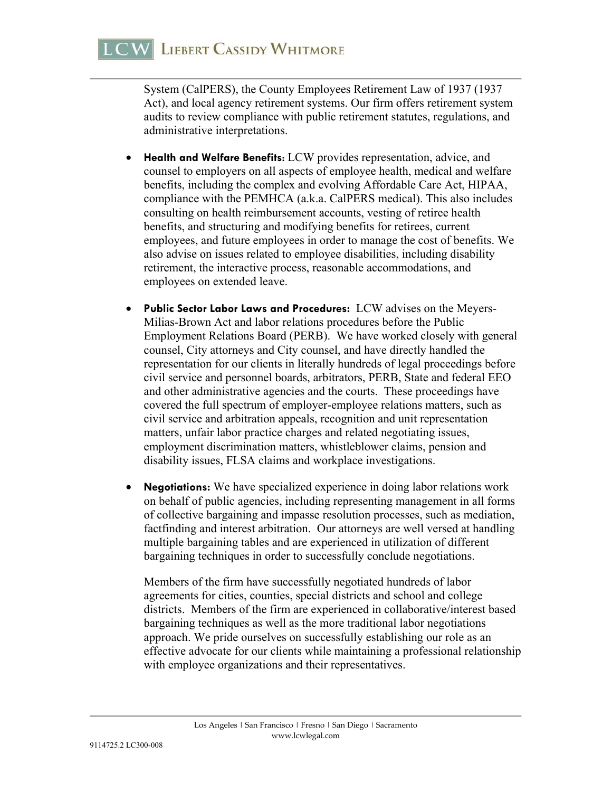System (CalPERS), the County Employees Retirement Law of 1937 (1937 Act), and local agency retirement systems. Our firm offers retirement system audits to review compliance with public retirement statutes, regulations, and administrative interpretations.

- **Health and Welfare Benefits**: LCW provides representation, advice, and counsel to employers on all aspects of employee health, medical and welfare benefits, including the complex and evolving Affordable Care Act, HIPAA, compliance with the PEMHCA (a.k.a. CalPERS medical). This also includes consulting on health reimbursement accounts, vesting of retiree health benefits, and structuring and modifying benefits for retirees, current employees, and future employees in order to manage the cost of benefits. We also advise on issues related to employee disabilities, including disability retirement, the interactive process, reasonable accommodations, and employees on extended leave.
- **Public Sector Labor Laws and Procedures:** LCW advises on the Meyers-Milias-Brown Act and labor relations procedures before the Public Employment Relations Board (PERB). We have worked closely with general counsel, City attorneys and City counsel, and have directly handled the representation for our clients in literally hundreds of legal proceedings before civil service and personnel boards, arbitrators, PERB, State and federal EEO and other administrative agencies and the courts. These proceedings have covered the full spectrum of employer-employee relations matters, such as civil service and arbitration appeals, recognition and unit representation matters, unfair labor practice charges and related negotiating issues, employment discrimination matters, whistleblower claims, pension and disability issues, FLSA claims and workplace investigations.
- **Negotiations:** We have specialized experience in doing labor relations work on behalf of public agencies, including representing management in all forms of collective bargaining and impasse resolution processes, such as mediation, factfinding and interest arbitration. Our attorneys are well versed at handling multiple bargaining tables and are experienced in utilization of different bargaining techniques in order to successfully conclude negotiations.

 Members of the firm have successfully negotiated hundreds of labor agreements for cities, counties, special districts and school and college districts. Members of the firm are experienced in collaborative/interest based bargaining techniques as well as the more traditional labor negotiations approach. We pride ourselves on successfully establishing our role as an effective advocate for our clients while maintaining a professional relationship with employee organizations and their representatives.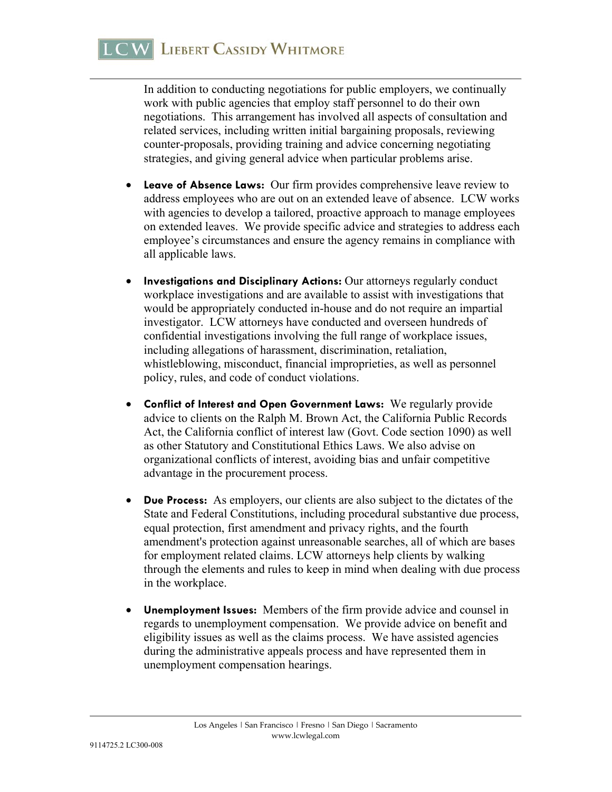In addition to conducting negotiations for public employers, we continually work with public agencies that employ staff personnel to do their own negotiations. This arrangement has involved all aspects of consultation and related services, including written initial bargaining proposals, reviewing counter-proposals, providing training and advice concerning negotiating strategies, and giving general advice when particular problems arise.

- **Leave of Absence Laws:** Our firm provides comprehensive leave review to address employees who are out on an extended leave of absence. LCW works with agencies to develop a tailored, proactive approach to manage employees on extended leaves. We provide specific advice and strategies to address each employee's circumstances and ensure the agency remains in compliance with all applicable laws.
- **Investigations and Disciplinary Actions:** Our attorneys regularly conduct workplace investigations and are available to assist with investigations that would be appropriately conducted in-house and do not require an impartial investigator. LCW attorneys have conducted and overseen hundreds of confidential investigations involving the full range of workplace issues, including allegations of harassment, discrimination, retaliation, whistleblowing, misconduct, financial improprieties, as well as personnel policy, rules, and code of conduct violations.
- **Conflict of Interest and Open Government Laws:** We regularly provide advice to clients on the Ralph M. Brown Act, the California Public Records Act, the California conflict of interest law (Govt. Code section 1090) as well as other Statutory and Constitutional Ethics Laws. We also advise on organizational conflicts of interest, avoiding bias and unfair competitive advantage in the procurement process.
- **Due Process:** As employers, our clients are also subject to the dictates of the State and Federal Constitutions, including procedural substantive due process, equal protection, first amendment and privacy rights, and the fourth amendment's protection against unreasonable searches, all of which are bases for employment related claims. LCW attorneys help clients by walking through the elements and rules to keep in mind when dealing with due process in the workplace.
- **Unemployment Issues:** Members of the firm provide advice and counsel in regards to unemployment compensation. We provide advice on benefit and eligibility issues as well as the claims process. We have assisted agencies during the administrative appeals process and have represented them in unemployment compensation hearings.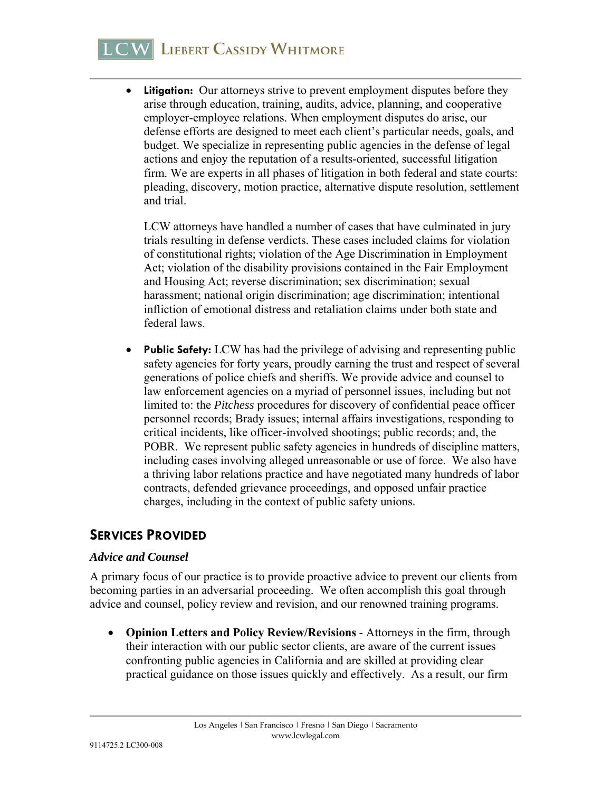# **LCW LIEBERT CASSIDY WHITMORE**

• Litigation: Our attorneys strive to prevent employment disputes before they arise through education, training, audits, advice, planning, and cooperative employer-employee relations. When employment disputes do arise, our defense efforts are designed to meet each client's particular needs, goals, and budget. We specialize in representing public agencies in the defense of legal actions and enjoy the reputation of a results-oriented, successful litigation firm. We are experts in all phases of litigation in both federal and state courts: pleading, discovery, motion practice, alternative dispute resolution, settlement and trial.

 LCW attorneys have handled a number of cases that have culminated in jury trials resulting in defense verdicts. These cases included claims for violation of constitutional rights; violation of the Age Discrimination in Employment Act; violation of the disability provisions contained in the Fair Employment and Housing Act; reverse discrimination; sex discrimination; sexual harassment; national origin discrimination; age discrimination; intentional infliction of emotional distress and retaliation claims under both state and federal laws.

 **Public Safety:** LCW has had the privilege of advising and representing public safety agencies for forty years, proudly earning the trust and respect of several generations of police chiefs and sheriffs. We provide advice and counsel to law enforcement agencies on a myriad of personnel issues, including but not limited to: the *Pitchess* procedures for discovery of confidential peace officer personnel records; Brady issues; internal affairs investigations, responding to critical incidents, like officer-involved shootings; public records; and, the POBR. We represent public safety agencies in hundreds of discipline matters, including cases involving alleged unreasonable or use of force. We also have a thriving labor relations practice and have negotiated many hundreds of labor contracts, defended grievance proceedings, and opposed unfair practice charges, including in the context of public safety unions.

# **SERVICES PROVIDED**

#### *Advice and Counsel*

A primary focus of our practice is to provide proactive advice to prevent our clients from becoming parties in an adversarial proceeding. We often accomplish this goal through advice and counsel, policy review and revision, and our renowned training programs.

 **Opinion Letters and Policy Review/Revisions** - Attorneys in the firm, through their interaction with our public sector clients, are aware of the current issues confronting public agencies in California and are skilled at providing clear practical guidance on those issues quickly and effectively. As a result, our firm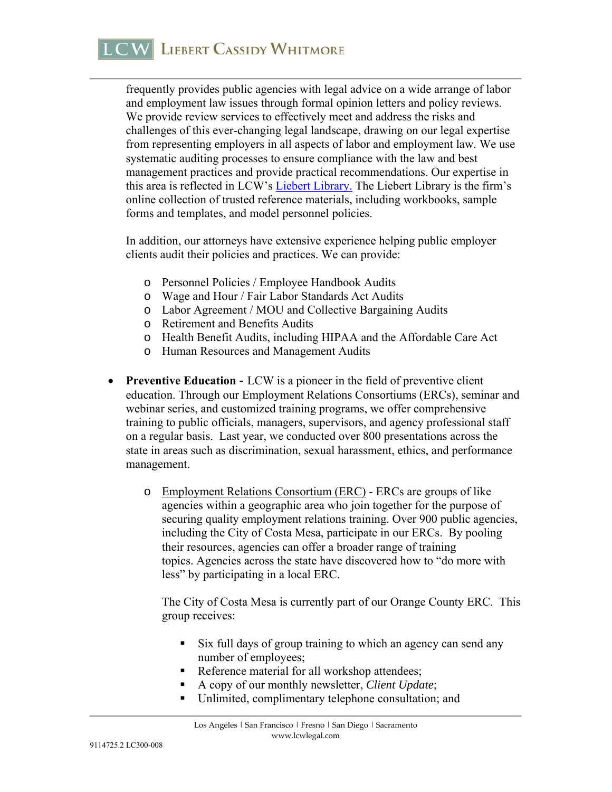frequently provides public agencies with legal advice on a wide arrange of labor and employment law issues through formal opinion letters and policy reviews. We provide review services to effectively meet and address the risks and challenges of this ever-changing legal landscape, drawing on our legal expertise from representing employers in all aspects of labor and employment law. We use systematic auditing processes to ensure compliance with the law and best management practices and provide practical recommendations. Our expertise in this area is reflected in LCW's Liebert Library. The Liebert Library is the firm's online collection of trusted reference materials, including workbooks, sample forms and templates, and model personnel policies.

In addition, our attorneys have extensive experience helping public employer clients audit their policies and practices. We can provide:

- o Personnel Policies / Employee Handbook Audits
- o Wage and Hour / Fair Labor Standards Act Audits
- o Labor Agreement / MOU and Collective Bargaining Audits
- o Retirement and Benefits Audits
- o Health Benefit Audits, including HIPAA and the Affordable Care Act
- o Human Resources and Management Audits
- **Preventive Education** LCW is a pioneer in the field of preventive client education. Through our Employment Relations Consortiums (ERCs), seminar and webinar series, and customized training programs, we offer comprehensive training to public officials, managers, supervisors, and agency professional staff on a regular basis. Last year, we conducted over 800 presentations across the state in areas such as discrimination, sexual harassment, ethics, and performance management.
	- o Employment Relations Consortium (ERC) ERCs are groups of like agencies within a geographic area who join together for the purpose of securing quality employment relations training. Over 900 public agencies, including the City of Costa Mesa, participate in our ERCs. By pooling their resources, agencies can offer a broader range of training topics. Agencies across the state have discovered how to "do more with less" by participating in a local ERC.

The City of Costa Mesa is currently part of our Orange County ERC. This group receives:

- Six full days of group training to which an agency can send any number of employees;
- Reference material for all workshop attendees;
- A copy of our monthly newsletter, *Client Update*;
- Unlimited, complimentary telephone consultation; and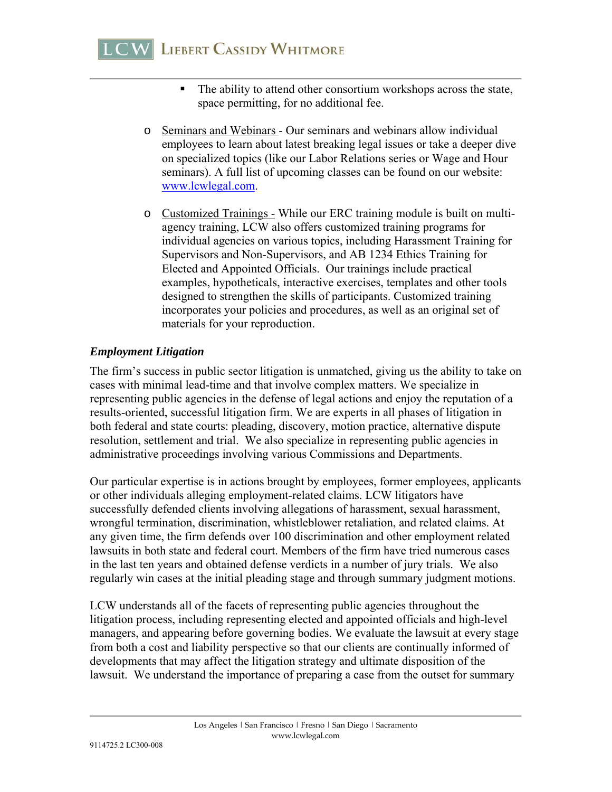- The ability to attend other consortium workshops across the state, space permitting, for no additional fee.
- o Seminars and Webinars Our seminars and webinars allow individual employees to learn about latest breaking legal issues or take a deeper dive on specialized topics (like our Labor Relations series or Wage and Hour seminars). A full list of upcoming classes can be found on our website: www.lcwlegal.com.
- o Customized Trainings While our ERC training module is built on multiagency training, LCW also offers customized training programs for individual agencies on various topics, including Harassment Training for Supervisors and Non-Supervisors, and AB 1234 Ethics Training for Elected and Appointed Officials. Our trainings include practical examples, hypotheticals, interactive exercises, templates and other tools designed to strengthen the skills of participants. Customized training incorporates your policies and procedures, as well as an original set of materials for your reproduction.

#### *Employment Litigation*

The firm's success in public sector litigation is unmatched, giving us the ability to take on cases with minimal lead-time and that involve complex matters. We specialize in representing public agencies in the defense of legal actions and enjoy the reputation of a results-oriented, successful litigation firm. We are experts in all phases of litigation in both federal and state courts: pleading, discovery, motion practice, alternative dispute resolution, settlement and trial. We also specialize in representing public agencies in administrative proceedings involving various Commissions and Departments.

Our particular expertise is in actions brought by employees, former employees, applicants or other individuals alleging employment-related claims. LCW litigators have successfully defended clients involving allegations of harassment, sexual harassment, wrongful termination, discrimination, whistleblower retaliation, and related claims. At any given time, the firm defends over 100 discrimination and other employment related lawsuits in both state and federal court. Members of the firm have tried numerous cases in the last ten years and obtained defense verdicts in a number of jury trials. We also regularly win cases at the initial pleading stage and through summary judgment motions.

LCW understands all of the facets of representing public agencies throughout the litigation process, including representing elected and appointed officials and high-level managers, and appearing before governing bodies. We evaluate the lawsuit at every stage from both a cost and liability perspective so that our clients are continually informed of developments that may affect the litigation strategy and ultimate disposition of the lawsuit. We understand the importance of preparing a case from the outset for summary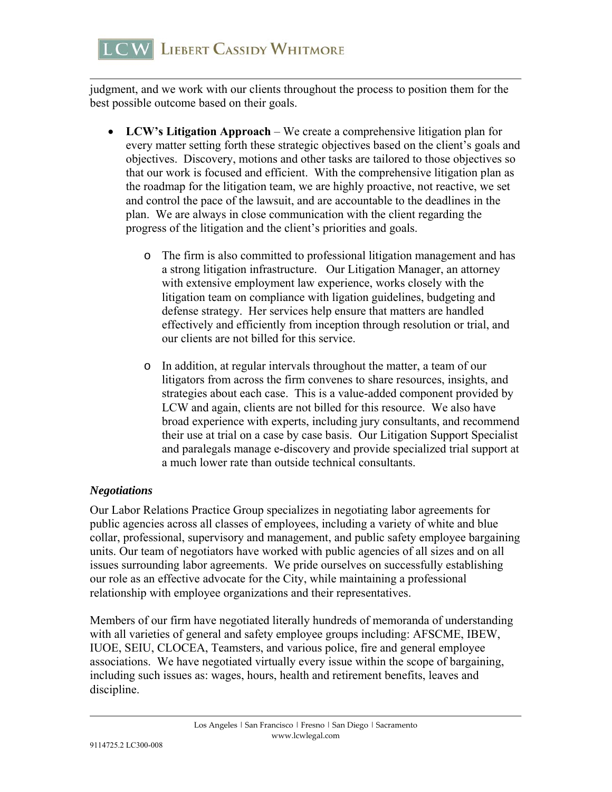judgment, and we work with our clients throughout the process to position them for the best possible outcome based on their goals.

- **LCW's Litigation Approach** We create a comprehensive litigation plan for every matter setting forth these strategic objectives based on the client's goals and objectives. Discovery, motions and other tasks are tailored to those objectives so that our work is focused and efficient. With the comprehensive litigation plan as the roadmap for the litigation team, we are highly proactive, not reactive, we set and control the pace of the lawsuit, and are accountable to the deadlines in the plan. We are always in close communication with the client regarding the progress of the litigation and the client's priorities and goals.
	- o The firm is also committed to professional litigation management and has a strong litigation infrastructure. Our Litigation Manager, an attorney with extensive employment law experience, works closely with the litigation team on compliance with ligation guidelines, budgeting and defense strategy. Her services help ensure that matters are handled effectively and efficiently from inception through resolution or trial, and our clients are not billed for this service.
	- o In addition, at regular intervals throughout the matter, a team of our litigators from across the firm convenes to share resources, insights, and strategies about each case. This is a value-added component provided by LCW and again, clients are not billed for this resource. We also have broad experience with experts, including jury consultants, and recommend their use at trial on a case by case basis. Our Litigation Support Specialist and paralegals manage e-discovery and provide specialized trial support at a much lower rate than outside technical consultants.

## *Negotiations*

Our Labor Relations Practice Group specializes in negotiating labor agreements for public agencies across all classes of employees, including a variety of white and blue collar, professional, supervisory and management, and public safety employee bargaining units. Our team of negotiators have worked with public agencies of all sizes and on all issues surrounding labor agreements. We pride ourselves on successfully establishing our role as an effective advocate for the City, while maintaining a professional relationship with employee organizations and their representatives.

Members of our firm have negotiated literally hundreds of memoranda of understanding with all varieties of general and safety employee groups including: AFSCME, IBEW, IUOE, SEIU, CLOCEA, Teamsters, and various police, fire and general employee associations. We have negotiated virtually every issue within the scope of bargaining, including such issues as: wages, hours, health and retirement benefits, leaves and discipline.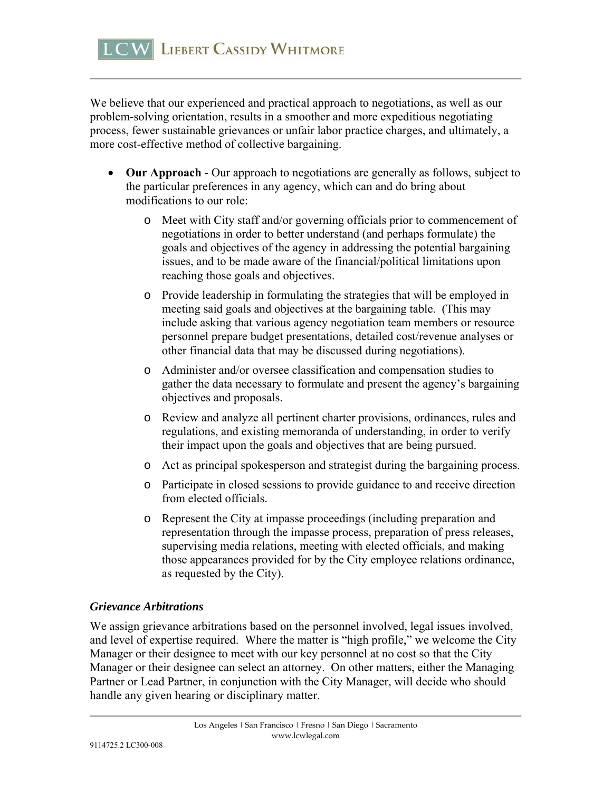We believe that our experienced and practical approach to negotiations, as well as our problem-solving orientation, results in a smoother and more expeditious negotiating process, fewer sustainable grievances or unfair labor practice charges, and ultimately, a more cost-effective method of collective bargaining.

- **Our Approach** Our approach to negotiations are generally as follows, subject to the particular preferences in any agency, which can and do bring about modifications to our role:
	- o Meet with City staff and/or governing officials prior to commencement of negotiations in order to better understand (and perhaps formulate) the goals and objectives of the agency in addressing the potential bargaining issues, and to be made aware of the financial/political limitations upon reaching those goals and objectives.
	- o Provide leadership in formulating the strategies that will be employed in meeting said goals and objectives at the bargaining table. (This may include asking that various agency negotiation team members or resource personnel prepare budget presentations, detailed cost/revenue analyses or other financial data that may be discussed during negotiations).
	- o Administer and/or oversee classification and compensation studies to gather the data necessary to formulate and present the agency's bargaining objectives and proposals.
	- o Review and analyze all pertinent charter provisions, ordinances, rules and regulations, and existing memoranda of understanding, in order to verify their impact upon the goals and objectives that are being pursued.
	- o Act as principal spokesperson and strategist during the bargaining process.
	- o Participate in closed sessions to provide guidance to and receive direction from elected officials.
	- o Represent the City at impasse proceedings (including preparation and representation through the impasse process, preparation of press releases, supervising media relations, meeting with elected officials, and making those appearances provided for by the City employee relations ordinance, as requested by the City).

## *Grievance Arbitrations*

We assign grievance arbitrations based on the personnel involved, legal issues involved, and level of expertise required. Where the matter is "high profile," we welcome the City Manager or their designee to meet with our key personnel at no cost so that the City Manager or their designee can select an attorney. On other matters, either the Managing Partner or Lead Partner, in conjunction with the City Manager, will decide who should handle any given hearing or disciplinary matter.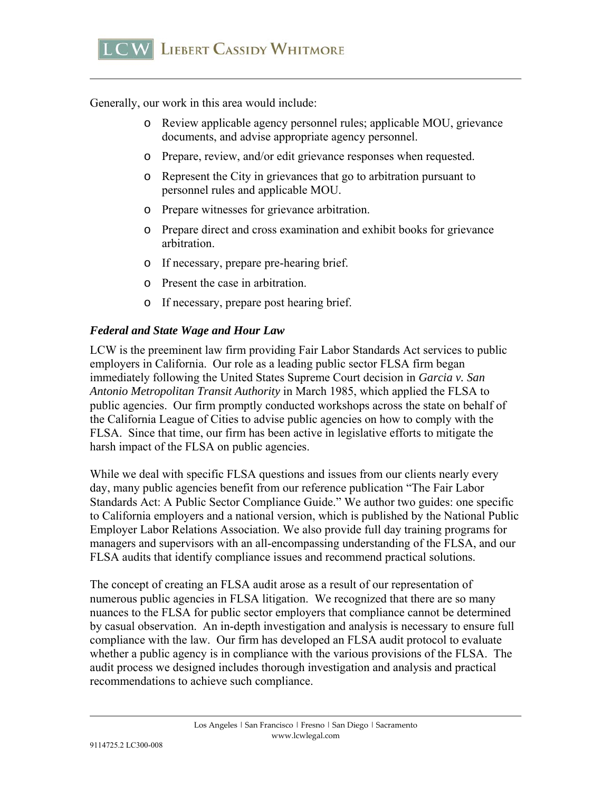Generally, our work in this area would include:

- o Review applicable agency personnel rules; applicable MOU, grievance documents, and advise appropriate agency personnel.
- o Prepare, review, and/or edit grievance responses when requested.
- o Represent the City in grievances that go to arbitration pursuant to personnel rules and applicable MOU.
- o Prepare witnesses for grievance arbitration.
- o Prepare direct and cross examination and exhibit books for grievance arbitration.
- o If necessary, prepare pre-hearing brief.
- o Present the case in arbitration.
- o If necessary, prepare post hearing brief.

#### *Federal and State Wage and Hour Law*

LCW is the preeminent law firm providing Fair Labor Standards Act services to public employers in California. Our role as a leading public sector FLSA firm began immediately following the United States Supreme Court decision in *Garcia v. San Antonio Metropolitan Transit Authority* in March 1985, which applied the FLSA to public agencies. Our firm promptly conducted workshops across the state on behalf of the California League of Cities to advise public agencies on how to comply with the FLSA. Since that time, our firm has been active in legislative efforts to mitigate the harsh impact of the FLSA on public agencies.

While we deal with specific FLSA questions and issues from our clients nearly every day, many public agencies benefit from our reference publication "The Fair Labor Standards Act: A Public Sector Compliance Guide." We author two guides: one specific to California employers and a national version, which is published by the National Public Employer Labor Relations Association. We also provide full day training programs for managers and supervisors with an all-encompassing understanding of the FLSA, and our FLSA audits that identify compliance issues and recommend practical solutions.

The concept of creating an FLSA audit arose as a result of our representation of numerous public agencies in FLSA litigation. We recognized that there are so many nuances to the FLSA for public sector employers that compliance cannot be determined by casual observation. An in-depth investigation and analysis is necessary to ensure full compliance with the law. Our firm has developed an FLSA audit protocol to evaluate whether a public agency is in compliance with the various provisions of the FLSA. The audit process we designed includes thorough investigation and analysis and practical recommendations to achieve such compliance.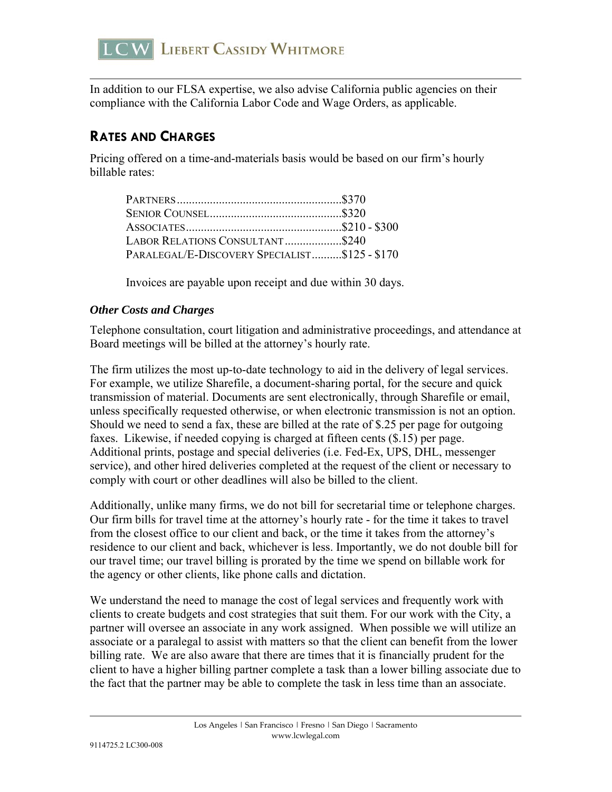

In addition to our FLSA expertise, we also advise California public agencies on their compliance with the California Labor Code and Wage Orders, as applicable.

# **RATES AND CHARGES**

Pricing offered on a time-and-materials basis would be based on our firm's hourly billable rates:

| LABOR RELATIONS CONSULTANT\$240               |  |
|-----------------------------------------------|--|
| PARALEGAL/E-DISCOVERY SPECIALIST\$125 - \$170 |  |

Invoices are payable upon receipt and due within 30 days.

#### *Other Costs and Charges*

Telephone consultation, court litigation and administrative proceedings, and attendance at Board meetings will be billed at the attorney's hourly rate.

The firm utilizes the most up-to-date technology to aid in the delivery of legal services. For example, we utilize Sharefile, a document-sharing portal, for the secure and quick transmission of material. Documents are sent electronically, through Sharefile or email, unless specifically requested otherwise, or when electronic transmission is not an option. Should we need to send a fax, these are billed at the rate of \$.25 per page for outgoing faxes. Likewise, if needed copying is charged at fifteen cents (\$.15) per page. Additional prints, postage and special deliveries (i.e. Fed-Ex, UPS, DHL, messenger service), and other hired deliveries completed at the request of the client or necessary to comply with court or other deadlines will also be billed to the client.

Additionally, unlike many firms, we do not bill for secretarial time or telephone charges. Our firm bills for travel time at the attorney's hourly rate - for the time it takes to travel from the closest office to our client and back, or the time it takes from the attorney's residence to our client and back, whichever is less. Importantly, we do not double bill for our travel time; our travel billing is prorated by the time we spend on billable work for the agency or other clients, like phone calls and dictation.

We understand the need to manage the cost of legal services and frequently work with clients to create budgets and cost strategies that suit them. For our work with the City, a partner will oversee an associate in any work assigned. When possible we will utilize an associate or a paralegal to assist with matters so that the client can benefit from the lower billing rate. We are also aware that there are times that it is financially prudent for the client to have a higher billing partner complete a task than a lower billing associate due to the fact that the partner may be able to complete the task in less time than an associate.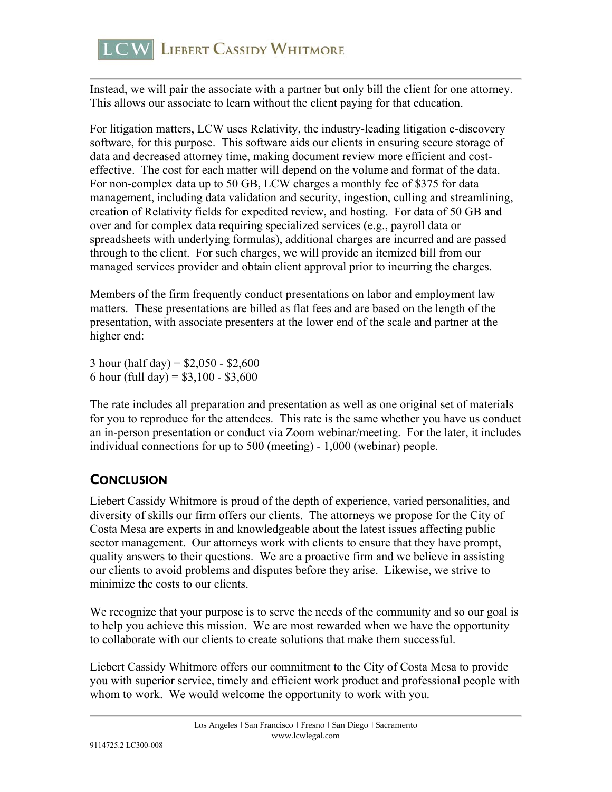Instead, we will pair the associate with a partner but only bill the client for one attorney. This allows our associate to learn without the client paying for that education.

For litigation matters, LCW uses Relativity, the industry-leading litigation e-discovery software, for this purpose. This software aids our clients in ensuring secure storage of data and decreased attorney time, making document review more efficient and costeffective. The cost for each matter will depend on the volume and format of the data. For non-complex data up to 50 GB, LCW charges a monthly fee of \$375 for data management, including data validation and security, ingestion, culling and streamlining, creation of Relativity fields for expedited review, and hosting. For data of 50 GB and over and for complex data requiring specialized services (e.g., payroll data or spreadsheets with underlying formulas), additional charges are incurred and are passed through to the client. For such charges, we will provide an itemized bill from our managed services provider and obtain client approval prior to incurring the charges.

Members of the firm frequently conduct presentations on labor and employment law matters. These presentations are billed as flat fees and are based on the length of the presentation, with associate presenters at the lower end of the scale and partner at the higher end:

3 hour (half day) =  $$2,050 - $2,600$ 6 hour (full day) =  $$3,100 - $3,600$ 

The rate includes all preparation and presentation as well as one original set of materials for you to reproduce for the attendees. This rate is the same whether you have us conduct an in-person presentation or conduct via Zoom webinar/meeting. For the later, it includes individual connections for up to 500 (meeting) - 1,000 (webinar) people.

# **CONCLUSION**

Liebert Cassidy Whitmore is proud of the depth of experience, varied personalities, and diversity of skills our firm offers our clients. The attorneys we propose for the City of Costa Mesa are experts in and knowledgeable about the latest issues affecting public sector management. Our attorneys work with clients to ensure that they have prompt, quality answers to their questions. We are a proactive firm and we believe in assisting our clients to avoid problems and disputes before they arise. Likewise, we strive to minimize the costs to our clients.

We recognize that your purpose is to serve the needs of the community and so our goal is to help you achieve this mission. We are most rewarded when we have the opportunity to collaborate with our clients to create solutions that make them successful.

Liebert Cassidy Whitmore offers our commitment to the City of Costa Mesa to provide you with superior service, timely and efficient work product and professional people with whom to work. We would welcome the opportunity to work with you.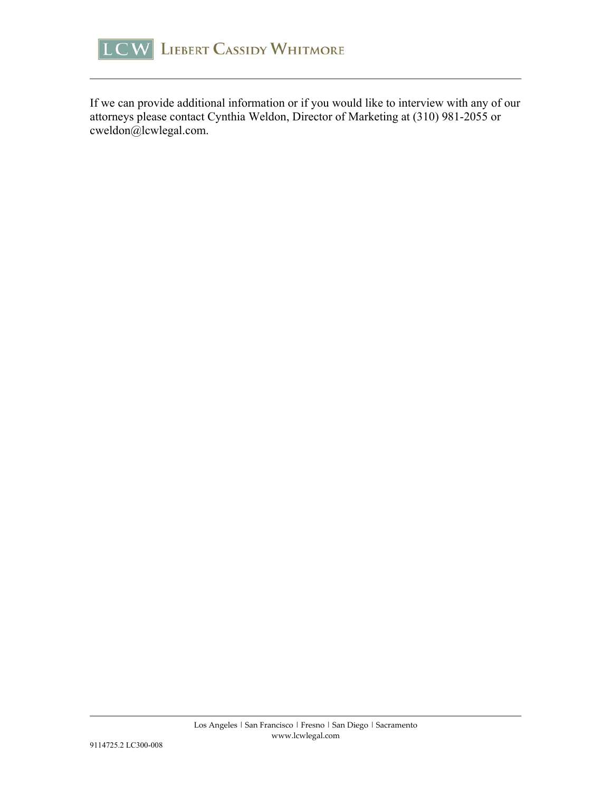

If we can provide additional information or if you would like to interview with any of our attorneys please contact Cynthia Weldon, Director of Marketing at (310) 981-2055 or cweldon@lcwlegal.com.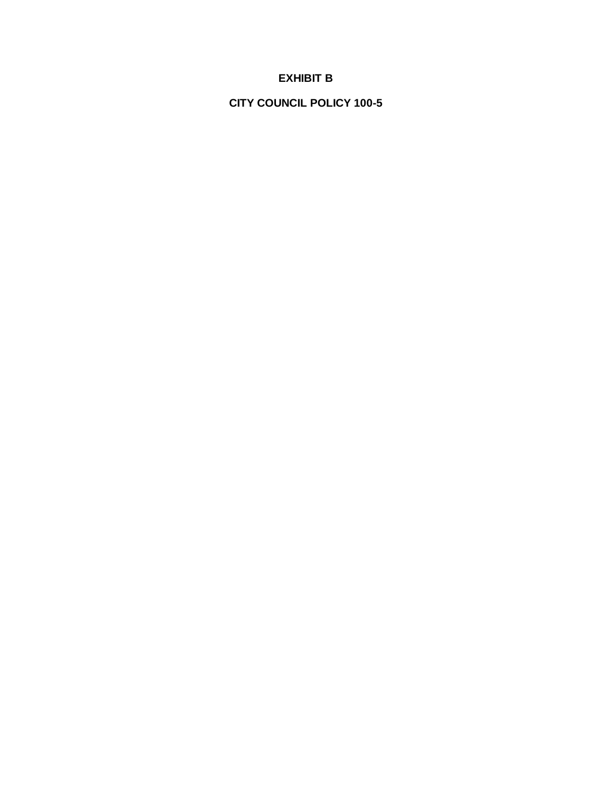# **EXHIBIT B**

**CITY COUNCIL POLICY 100-5**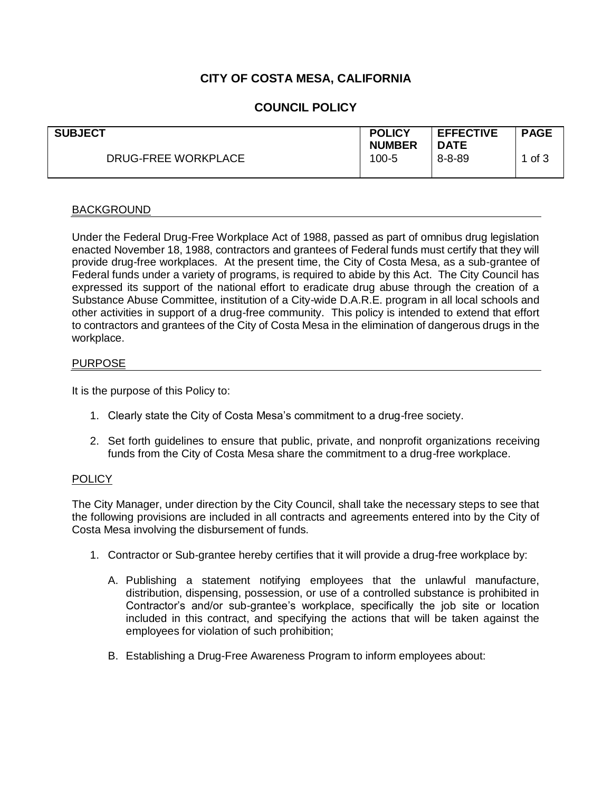# **CITY OF COSTA MESA, CALIFORNIA**

## **COUNCIL POLICY**

| <b>SUBJECT</b><br>DRUG-FREE WORKPLACE | <b>POLICY</b><br><b>NUMBER</b><br>100-5 | <b>EFFECTIVE</b><br><b>DATE</b><br>$8 - 8 - 89$ | <b>PAGE</b><br>1 of 3 |
|---------------------------------------|-----------------------------------------|-------------------------------------------------|-----------------------|
|                                       |                                         |                                                 |                       |

#### BACKGROUND

Under the Federal Drug-Free Workplace Act of 1988, passed as part of omnibus drug legislation enacted November 18, 1988, contractors and grantees of Federal funds must certify that they will provide drug-free workplaces. At the present time, the City of Costa Mesa, as a sub-grantee of Federal funds under a variety of programs, is required to abide by this Act. The City Council has expressed its support of the national effort to eradicate drug abuse through the creation of a Substance Abuse Committee, institution of a City-wide D.A.R.E. program in all local schools and other activities in support of a drug-free community. This policy is intended to extend that effort to contractors and grantees of the City of Costa Mesa in the elimination of dangerous drugs in the workplace.

#### PURPOSE

It is the purpose of this Policy to:

- 1. Clearly state the City of Costa Mesa's commitment to a drug-free society.
- 2. Set forth guidelines to ensure that public, private, and nonprofit organizations receiving funds from the City of Costa Mesa share the commitment to a drug-free workplace.

#### **POLICY**

The City Manager, under direction by the City Council, shall take the necessary steps to see that the following provisions are included in all contracts and agreements entered into by the City of Costa Mesa involving the disbursement of funds.

- 1. Contractor or Sub-grantee hereby certifies that it will provide a drug-free workplace by:
	- A. Publishing a statement notifying employees that the unlawful manufacture, distribution, dispensing, possession, or use of a controlled substance is prohibited in Contractor's and/or sub-grantee's workplace, specifically the job site or location included in this contract, and specifying the actions that will be taken against the employees for violation of such prohibition;
	- B. Establishing a Drug-Free Awareness Program to inform employees about: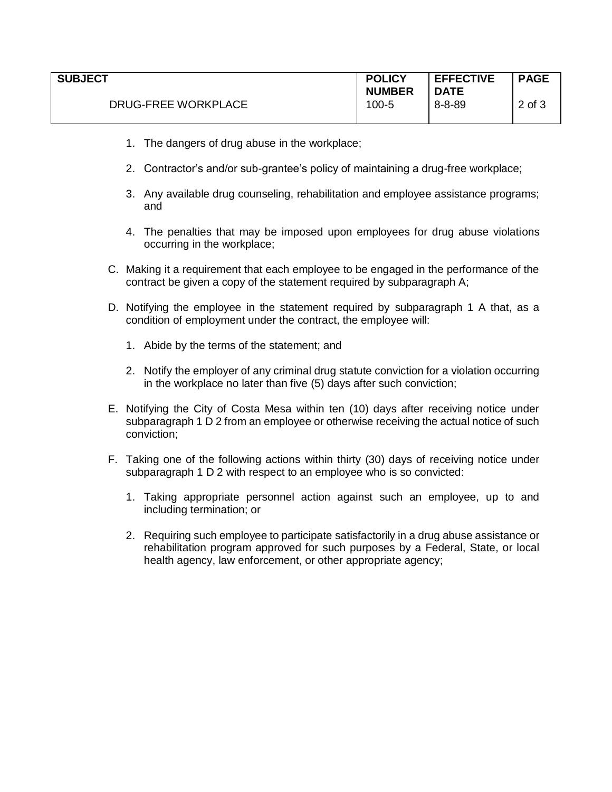| <b>SUBJECT</b>             | <b>POLICY</b><br><b>NUMBER</b> | <b>EFFECTIVE</b><br><b>DATE</b> | <b>PAGE</b> |
|----------------------------|--------------------------------|---------------------------------|-------------|
| <b>DRUG-FREE WORKPLACE</b> | 100-5                          | $8 - 8 - 89$                    | 2 of 3      |

- 1. The dangers of drug abuse in the workplace;
- 2. Contractor's and/or sub-grantee's policy of maintaining a drug-free workplace;
- 3. Any available drug counseling, rehabilitation and employee assistance programs; and
- 4. The penalties that may be imposed upon employees for drug abuse violations occurring in the workplace;
- C. Making it a requirement that each employee to be engaged in the performance of the contract be given a copy of the statement required by subparagraph A;
- D. Notifying the employee in the statement required by subparagraph 1 A that, as a condition of employment under the contract, the employee will:
	- 1. Abide by the terms of the statement; and
	- 2. Notify the employer of any criminal drug statute conviction for a violation occurring in the workplace no later than five (5) days after such conviction;
- E. Notifying the City of Costa Mesa within ten (10) days after receiving notice under subparagraph 1 D 2 from an employee or otherwise receiving the actual notice of such conviction;
- F. Taking one of the following actions within thirty (30) days of receiving notice under subparagraph 1 D 2 with respect to an employee who is so convicted:
	- 1. Taking appropriate personnel action against such an employee, up to and including termination; or
	- 2. Requiring such employee to participate satisfactorily in a drug abuse assistance or rehabilitation program approved for such purposes by a Federal, State, or local health agency, law enforcement, or other appropriate agency;